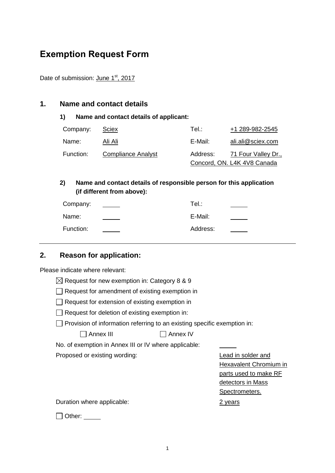# **Exemption Request Form**

Date of submission: June 1<sup>st</sup>, 2017

#### **1. Name and contact details**

#### **1) Name and contact details of applicant:**

| Company:  | Sciex                     | Tel∴     | +1 289-982-2545             |
|-----------|---------------------------|----------|-----------------------------|
| Name:     | Ali Ali                   | E-Mail:  | ali.ali@sciex.com           |
| Function: | <b>Compliance Analyst</b> | Address: | 71 Four Valley Dr.,         |
|           |                           |          | Concord, ON. L4K 4V8 Canada |

## **2) Name and contact details of responsible person for this application (if different from above):**

| Company:  | Tel.∶    |  |
|-----------|----------|--|
| Name:     | E-Mail:  |  |
| Function: | Address: |  |

# **2. Reason for application:**

Please indicate where relevant:

| $\boxtimes$ Request for new exemption in: Category 8 & 9 |  |  |
|----------------------------------------------------------|--|--|
|----------------------------------------------------------|--|--|

 $\Box$  Request for amendment of existing exemption in

Request for extension of existing exemption in

 $\Box$  Request for deletion of existing exemption in:

 $\Box$  Provision of information referring to an existing specific exemption in:

Annex III Annex IV

No. of exemption in Annex III or IV where applicable:

Proposed or existing wording: Lead in solder and

Hexavalent Chromium in parts used to make RF detectors in Mass Spectrometers.

Duration where applicable: 2 years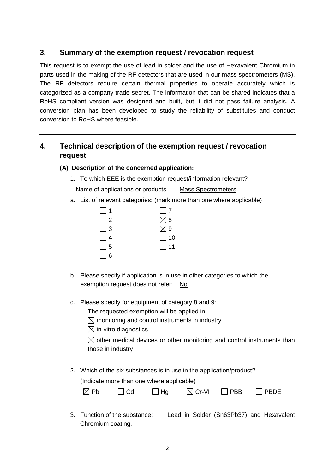## **3. Summary of the exemption request / revocation request**

This request is to exempt the use of lead in solder and the use of Hexavalent Chromium in parts used in the making of the RF detectors that are used in our mass spectrometers (MS). The RF detectors require certain thermal properties to operate accurately which is categorized as a company trade secret. The information that can be shared indicates that a RoHS compliant version was designed and built, but it did not pass failure analysis. A conversion plan has been developed to study the reliability of substitutes and conduct conversion to RoHS where feasible.

# **4. Technical description of the exemption request / revocation request**

#### **(A) Description of the concerned application:**

1. To which EEE is the exemption request/information relevant?

Name of applications or products: Mass Spectrometers

a. List of relevant categories: (mark more than one where applicable)

| $\Box$ 1 | $\Box$ 7      |
|----------|---------------|
| $\Box$ 2 | $\boxtimes$ 8 |
| $\Box$ 3 | $\boxtimes$ 9 |
| $\Box$ 4 | $\Box$ 10     |
| $\Box$ 5 | $\Box$ 11     |
| $\Box$ 6 |               |

- b. Please specify if application is in use in other categories to which the exemption request does not refer: No
- c. Please specify for equipment of category 8 and 9:

The requested exemption will be applied in

 $\boxtimes$  monitoring and control instruments in industry

 $\boxtimes$  in-vitro diagnostics

 $\boxtimes$  other medical devices or other monitoring and control instruments than those in industry

2. Which of the six substances is in use in the application/product? (Indicate more than one where applicable)

| $\boxtimes$ Pb | $\Box$ Cd | $\Box$ Hg | $\boxtimes$ Cr-VI | $\Box$ PBB | $\Box$ PBDE |
|----------------|-----------|-----------|-------------------|------------|-------------|
|                |           |           |                   |            |             |

3. Function of the substance: Lead in Solder (Sn63Pb37) and Hexavalent Chromium coating.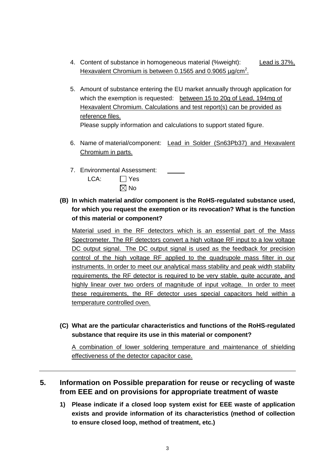- 4. Content of substance in homogeneous material (%weight): Lead is 37%, Hexavalent Chromium is between 0.1565 and 0.9065 µg/cm<sup>2</sup>.
- 5. Amount of substance entering the EU market annually through application for which the exemption is requested: between 15 to 20g of Lead, 194mg of Hexavalent Chromium. Calculations and test report(s) can be provided as reference files. Please supply information and calculations to support stated figure.
- 6. Name of material/component: Lead in Solder (Sn63Pb37) and Hexavalent Chromium in parts.
- 7. Environmental Assessment:

| LCA: | $\Box$ Yes     |
|------|----------------|
|      | $\boxtimes$ No |

**(B) In which material and/or component is the RoHS-regulated substance used, for which you request the exemption or its revocation? What is the function of this material or component?**

Material used in the RF detectors which is an essential part of the Mass Spectrometer. The RF detectors convert a high voltage RF input to a low voltage DC output signal. The DC output signal is used as the feedback for precision control of the high voltage RF applied to the quadrupole mass filter in our instruments. In order to meet our analytical mass stability and peak width stability requirements, the RF detector is required to be very stable, quite accurate, and highly linear over two orders of magnitude of input voltage. In order to meet these requirements, the RF detector uses special capacitors held within a temperature controlled oven.

**(C) What are the particular characteristics and functions of the RoHS-regulated substance that require its use in this material or component?**

A combination of lower soldering temperature and maintenance of shielding effectiveness of the detector capacitor case.

## **5. Information on Possible preparation for reuse or recycling of waste from EEE and on provisions for appropriate treatment of waste**

**1) Please indicate if a closed loop system exist for EEE waste of application exists and provide information of its characteristics (method of collection to ensure closed loop, method of treatment, etc.)**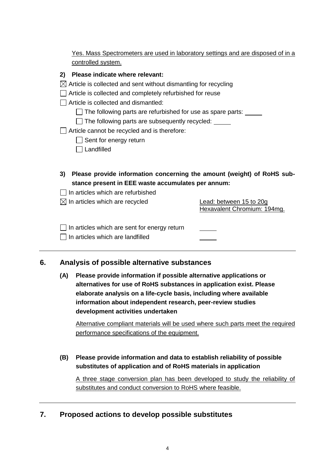| Yes. Mass Spectrometers are used in laboratory settings and are disposed of in a |  |  |  |  |
|----------------------------------------------------------------------------------|--|--|--|--|
| controlled system.                                                               |  |  |  |  |

#### **2) Please indicate where relevant:**

- $\boxtimes$  Article is collected and sent without dismantling for recycling
- Article is collected and completely refurbished for reuse
- $\Box$  Article is collected and dismantled:
	- $\Box$  The following parts are refurbished for use as spare parts:  $\Box$
	- $\Box$  The following parts are subsequently recycled:  $\Box$
- Article cannot be recycled and is therefore:
	- $\Box$  Sent for energy return
	- □ Landfilled
- **3) Please provide information concerning the amount (weight) of RoHS substance present in EEE waste accumulates per annum:**
- $\Box$  In articles which are refurbished

| $\boxtimes$ In articles which are recycled          | Lead: between 15 to 20g<br>Hexavalent Chromium: 194mg. |  |  |
|-----------------------------------------------------|--------------------------------------------------------|--|--|
| $\Box$ In articles which are sent for energy return |                                                        |  |  |

 $\Box$  In articles which are landfilled

## **6. Analysis of possible alternative substances**

**(A) Please provide information if possible alternative applications or alternatives for use of RoHS substances in application exist. Please elaborate analysis on a life-cycle basis, including where available information about independent research, peer-review studies development activities undertaken**

Alternative compliant materials will be used where such parts meet the required performance specifications of the equipment.

**(B) Please provide information and data to establish reliability of possible substitutes of application and of RoHS materials in application**

A three stage conversion plan has been developed to study the reliability of substitutes and conduct conversion to RoHS where feasible.

## **7. Proposed actions to develop possible substitutes**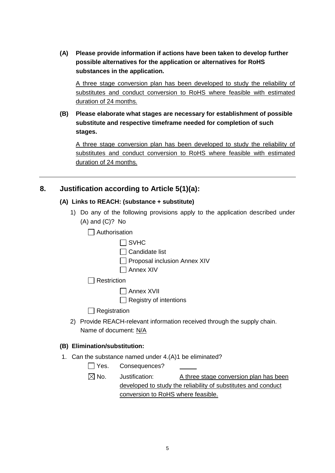**(A) Please provide information if actions have been taken to develop further possible alternatives for the application or alternatives for RoHS substances in the application.** 

A three stage conversion plan has been developed to study the reliability of substitutes and conduct conversion to RoHS where feasible with estimated duration of 24 months.

**(B) Please elaborate what stages are necessary for establishment of possible substitute and respective timeframe needed for completion of such stages.**

A three stage conversion plan has been developed to study the reliability of substitutes and conduct conversion to RoHS where feasible with estimated duration of 24 months.

# **8. Justification according to Article 5(1)(a):**

## **(A) Links to REACH: (substance + substitute)**

- 1) Do any of the following provisions apply to the application described under (A) and (C)? No
	- $\Box$  Authorisation

| ш<br>V<br>. г. |
|----------------|
|----------------|

- $\Box$  Candidate list
- $\Box$  Proposal inclusion Annex XIV
- Annex XIV

 $\Box$  Restriction

 $\Box$  Annex XVII

 $\Box$  Registry of intentions

 $\Box$  Registration

2) Provide REACH-relevant information received through the supply chain. Name of document: N/A

#### **(B) Elimination/substitution:**

1. Can the substance named under 4.(A)1 be eliminated?

|                 | $\Box$ Yes. Consequences?          |                                                               |
|-----------------|------------------------------------|---------------------------------------------------------------|
| $\boxtimes$ No. | Justification:                     | A three stage conversion plan has been                        |
|                 |                                    | developed to study the reliability of substitutes and conduct |
|                 | conversion to RoHS where feasible. |                                                               |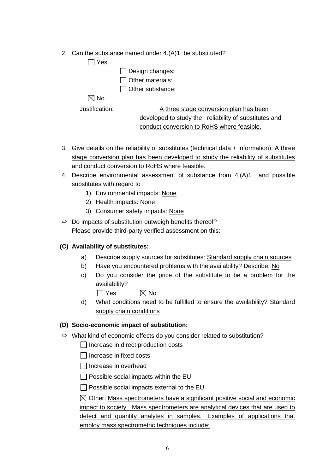2. Can the substance named under 4.(A)1 be substituted?

 $\Box$  Yes.

| $\Box$ Design changes:  |
|-------------------------|
| Other materials:        |
| $\Box$ Other substance: |

 $\boxtimes$  No.

Justification: A three stage conversion plan has been developed to study the reliability of substitutes and conduct conversion to RoHS where feasible.

- 3. Give details on the reliability of substitutes (technical data  $+$  information): A three stage conversion plan has been developed to study the reliability of substitutes and conduct conversion to RoHS where feasible.
- 4. Describe environmental assessment of substance from 4.(A)1 and possible substitutes with regard to
	- 1) Environmental impacts: None
	- 2) Health impacts: None
	- 3) Consumer safety impacts: None
- $\Rightarrow$  Do impacts of substitution outweigh benefits thereof? Please provide third-party verified assessment on this:

# **(C) Availability of substitutes:**

- a) Describe supply sources for substitutes: Standard supply chain sources
- b) Have you encountered problems with the availability? Describe: No
- c) Do you consider the price of the substitute to be a problem for the availability?

 $\Box$  Yes  $\boxtimes$  No

d) What conditions need to be fulfilled to ensure the availability? Standard supply chain conditions

## **(D) Socio-economic impact of substitution:**

- $\Rightarrow$  What kind of economic effects do you consider related to substitution?
	- Increase in direct production costs
	- $\Box$  Increase in fixed costs
	- $\Box$  Increase in overhead
	- $\Box$  Possible social impacts within the EU
	- $\Box$  Possible social impacts external to the EU

 $\boxtimes$  Other: Mass spectrometers have a significant positive social and economic impact to society. Mass spectrometers are analytical devices that are used to detect and quantify analytes in samples. Examples of applications that employ mass spectrometric techniques include: